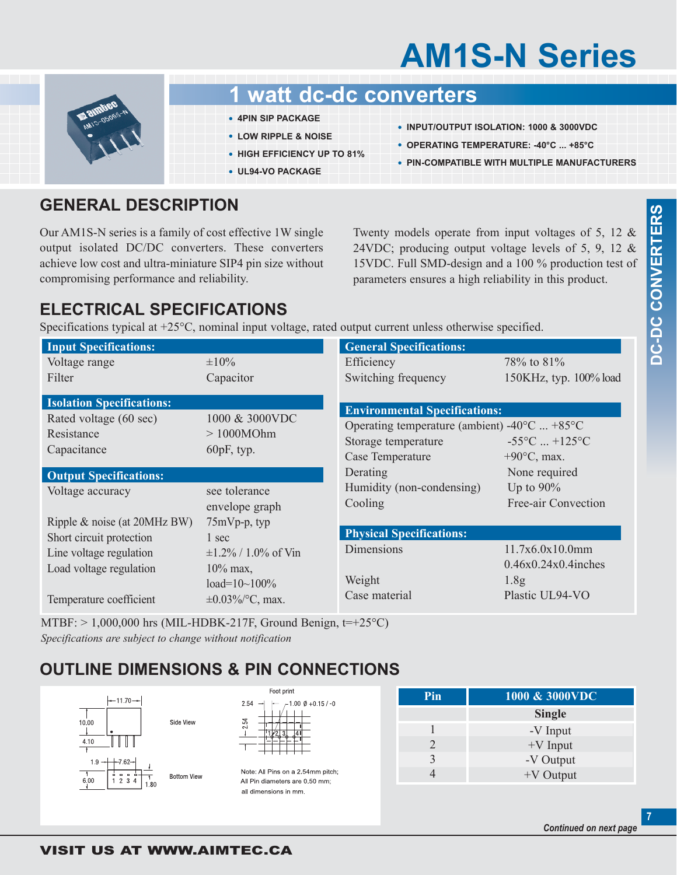# **AM1S-N Series**



## **1 watt dc-dc converters**

- **• 4PIN SIP PACKAGE**
- **• LOW RIPPLE & NOISE**
- **• HIGH EFFICIENCY UP TO 81%**
- **• UL94-VO PACKAGE**
- **• INPUT/OUTPUT ISOLATION: 1000 & 3000VDC**
- **• OPERATING TEMPERATURE: -40°C ... +85°C**
- **• PIN-COMPATIBLE WITH MULTIPLE MANUFACTURERS**

### **GENERAL DESCRIPTION**

Our AM1S-N series is a family of cost effective 1W single output isolated DC/DC converters. These converters achieve low cost and ultra-miniature SIP4 pin size without compromising performance and reliability.

Twenty models operate from input voltages of 5, 12 & 24VDC; producing output voltage levels of 5, 9, 12 & 15VDC. Full SMD-design and a 100 % production test of parameters ensures a high reliability in this product.

## **ELECTRICAL SPECIFICATIONS**

Specifications typical at +25°C, nominal input voltage, rated output current unless otherwise specified.

| <b>Input Specifications:</b>     |                                                                                                                                     | <b>General Specifications:</b>  |                                  |
|----------------------------------|-------------------------------------------------------------------------------------------------------------------------------------|---------------------------------|----------------------------------|
| Voltage range                    | $\pm 10\%$                                                                                                                          | Efficiency                      | 78\% to 81\%                     |
| Filter                           | Capacitor                                                                                                                           | Switching frequency             | 150KHz, typ. 100% load           |
| <b>Isolation Specifications:</b> |                                                                                                                                     |                                 |                                  |
| Rated voltage (60 sec)           | <b>Environmental Specifications:</b><br>1000 & 3000VDC<br>Operating temperature (ambient) -40 $\rm{^{\circ}C}$ +85 $\rm{^{\circ}C}$ |                                 |                                  |
| Resistance                       | >1000MOhm                                                                                                                           | Storage temperature             | $-55^{\circ}$ C $+125^{\circ}$ C |
| Capacitance                      | $60pF$ , typ.                                                                                                                       | Case Temperature                | $+90^{\circ}$ C, max.            |
| <b>Output Specifications:</b>    |                                                                                                                                     | Derating                        | None required                    |
| Voltage accuracy                 | see tolerance                                                                                                                       | Humidity (non-condensing)       | Up to $90\%$                     |
|                                  | envelope graph                                                                                                                      | Cooling                         | Free-air Convection              |
| Ripple & noise (at 20MHz BW)     | $75mVp-p$ , typ                                                                                                                     |                                 |                                  |
| Short circuit protection         | 1 sec                                                                                                                               | <b>Physical Specifications:</b> |                                  |
| Line voltage regulation          | $\pm 1.2\%$ / 1.0% of Vin                                                                                                           | Dimensions                      | 11.7x6.0x10.0mm                  |
| Load voltage regulation          | $10\%$ max,                                                                                                                         |                                 | $0.46x0.24x0.4$ inches           |
|                                  | load= $10~100%$                                                                                                                     | Weight                          | 1.8 <sub>g</sub>                 |
| Temperature coefficient          | $\pm 0.03\%$ /°C, max.                                                                                                              | Case material                   | Plastic UL94-VO                  |

MTBF:  $> 1,000,000$  hrs (MIL-HDBK-217F, Ground Benign, t=+25°C) *Specifications are subject to change without notification*

## **OUTLINE DIMENSIONS & PIN CONNECTIONS**



| Foot print |                        |  |  |  |  |
|------------|------------------------|--|--|--|--|
| 2.54       | $1.00 \& 0 + 0.15 / 0$ |  |  |  |  |
| 254        |                        |  |  |  |  |

Note: All Pins on a 2.54mm pitch: All Pin diameters are 0.50 mm; all dimensions in mm.

| Pin | 1000 & 3000VDC |  |
|-----|----------------|--|
|     | <b>Single</b>  |  |
|     | -V Input       |  |
| 2   | $+V$ Input     |  |
|     | -V Output      |  |
|     | $+V$ Output    |  |

**7**